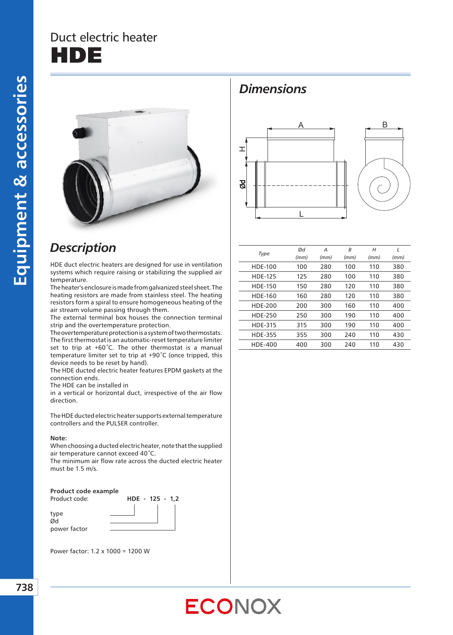## Duct electric heater DE



### *Description*

HDE duct electric heaters are designed for use in ventilation systems which require raising or stabilizing the supplied air temperature.

The heater's enclosure is made from galvanized steel sheet. The heating resistors are made from stainless steel. The heating resistors form a spiral to ensure homogeneous heating of the air stream volume passing through them.

The external terminal box houses the connection terminal strip and the overtemperature protection.

The overtemperature protection is a system of two thermostats. The first thermostat is an automatic-reset temperature limiter set to trip at +60*˚*C. The other thermostat is a manual temperature limiter set to trip at +90*˚*C (once tripped, this device needs to be reset by hand).

The HDE ducted electric heater features EPDM gaskets at the connection ends.

The HDE can be installed in

in a vertical or horizontal duct, irrespective of the air flow direction.

The HDE ducted electric heater supports external temperature controllers and the PULSER controller.

#### **Note:**

When choosing a ducted electric heater, note that the supplied air temperature cannot exceed 40*˚*C.

The minimum air flow rate across the ducted electric heater must be 1.5 m/s.

#### **Product code example**

type Ød power factor



Power factor: 1.2 x 1000 = 1200 W

#### *Dimensions*





| Type           | Ød   | А    | B    | Н    | L    |
|----------------|------|------|------|------|------|
|                | (mm) | (mm) | (mm) | (mm) | (mm) |
| <b>HDE-100</b> | 100  | 280  | 100  | 110  | 380  |
| <b>HDE-125</b> | 125  | 280  | 100  | 110  | 380  |
| <b>HDE-150</b> | 150  | 280  | 120  | 110  | 380  |
| <b>HDE-160</b> | 160  | 280  | 120  | 110  | 380  |
| HDF-200        | 200  | 300  | 160  | 110  | 400  |
| <b>HDE-250</b> | 250  | 300  | 190  | 110  | 400  |
| <b>HDE-315</b> | 315  | 300  | 190  | 110  | 400  |
| <b>HDE-355</b> | 355  | 300  | 240  | 110  | 430  |
| HDE-400        | 400  | 300  | 240  | 110  | 430  |
|                |      |      |      |      |      |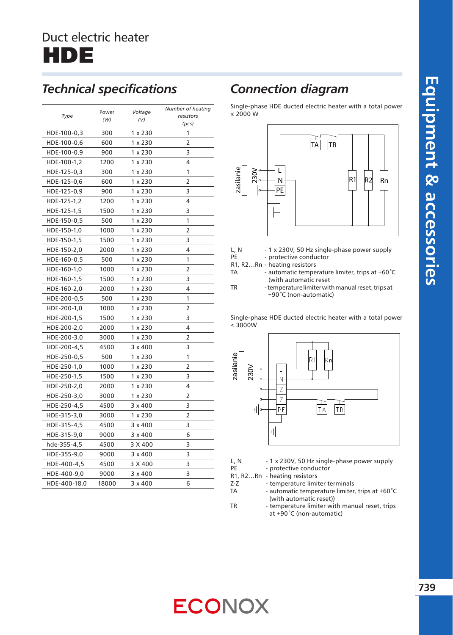

#### *Technical specifications*

| Type<br>resistors<br>(W)<br>(V)<br>(pcs)<br>1 x 230<br>HDE-100-0,3<br>300<br>1<br>HDE-100-0,6<br>600<br>1 x 230<br>2<br>HDE-100-0,9<br>900<br>1 x 230<br>3<br>4<br>1 x 230<br>HDE-100-1,2<br>1200<br>1<br>$1 \times 230$<br>HDE-125-0,3<br>300<br>2<br>1 x 230<br>HDE-125-0,6<br>600<br>3<br>HDE-125-0,9<br>900<br>1 x 230<br>1 x 230<br>4<br>HDE-125-1,2<br>1200<br>1500<br>$1 \times 230$<br>3<br>HDE-125-1,5<br>1<br>HDE-150-0,5<br>500<br>$1 \times 230$<br>1 x 230<br>2<br>HDE-150-1,0<br>1000<br>3<br>HDE-150-1,5<br>1500<br>1 x 230<br>4<br>HDE-150-2,0<br>2000<br>1 x 230<br>$1 \times 230$<br>1<br>HDE-160-0,5<br>500<br>2<br>HDE-160-1,0<br>1000<br>1 x 230<br>3<br>HDE-160-1,5<br>1500<br>1 x 230<br>4<br>HDE-160-2,0<br>2000<br>1 x 230<br>HDE-200-0,5<br>1 x 230<br>1<br>500<br>1 x 230<br>2<br>HDE-200-1,0<br>1000<br>1 x 230<br>3<br>HDE-200-1,5<br>1500<br>4<br>HDE-200-2,0<br>1 x 230<br>2000<br>HDE-200-3,0<br>3000<br>1 x 230<br>2<br>3<br>HDE-200-4,5<br>4500<br>$3 \times 400$<br>1<br>HDE-250-0,5<br>500<br>$1 \times 230$<br>2<br>HDE-250-1,0<br>1000<br>1 x 230<br>3<br>HDE-250-1,5<br>1500<br>1 x 230<br>4<br>HDE-250-2,0<br>2000<br>1 x 230<br>3000<br>1 x 230<br>2<br>HDE-250-3,0<br>$3 \times 400$<br>3<br>HDE-250-4,5<br>4500<br>$1 \times 230$<br>2<br>HDE-315-3,0<br>3000<br>3<br>HDE-315-4,5<br>4500<br>$3 \times 400$<br>HDE-315-9,0<br>$3 \times 400$<br>6<br>9000<br>3<br>3 X 400<br>hde-355-4,5<br>4500<br>3<br>HDE-355-9,0<br>9000<br>$3 \times 400$<br>3<br>3 X 400<br>HDE-400-4,5<br>4500<br>$3 \times 400$<br>3<br>HDE-400-9,0<br>9000<br>6<br>HDE-400-18,0<br>18000<br>$3 \times 400$ | Power | Voltage | Number of heating |  |
|--------------------------------------------------------------------------------------------------------------------------------------------------------------------------------------------------------------------------------------------------------------------------------------------------------------------------------------------------------------------------------------------------------------------------------------------------------------------------------------------------------------------------------------------------------------------------------------------------------------------------------------------------------------------------------------------------------------------------------------------------------------------------------------------------------------------------------------------------------------------------------------------------------------------------------------------------------------------------------------------------------------------------------------------------------------------------------------------------------------------------------------------------------------------------------------------------------------------------------------------------------------------------------------------------------------------------------------------------------------------------------------------------------------------------------------------------------------------------------------------------------------------------------------------------------------------------------------------------------------------------------|-------|---------|-------------------|--|
|                                                                                                                                                                                                                                                                                                                                                                                                                                                                                                                                                                                                                                                                                                                                                                                                                                                                                                                                                                                                                                                                                                                                                                                                                                                                                                                                                                                                                                                                                                                                                                                                                                |       |         |                   |  |
|                                                                                                                                                                                                                                                                                                                                                                                                                                                                                                                                                                                                                                                                                                                                                                                                                                                                                                                                                                                                                                                                                                                                                                                                                                                                                                                                                                                                                                                                                                                                                                                                                                |       |         |                   |  |
|                                                                                                                                                                                                                                                                                                                                                                                                                                                                                                                                                                                                                                                                                                                                                                                                                                                                                                                                                                                                                                                                                                                                                                                                                                                                                                                                                                                                                                                                                                                                                                                                                                |       |         |                   |  |
|                                                                                                                                                                                                                                                                                                                                                                                                                                                                                                                                                                                                                                                                                                                                                                                                                                                                                                                                                                                                                                                                                                                                                                                                                                                                                                                                                                                                                                                                                                                                                                                                                                |       |         |                   |  |
|                                                                                                                                                                                                                                                                                                                                                                                                                                                                                                                                                                                                                                                                                                                                                                                                                                                                                                                                                                                                                                                                                                                                                                                                                                                                                                                                                                                                                                                                                                                                                                                                                                |       |         |                   |  |
|                                                                                                                                                                                                                                                                                                                                                                                                                                                                                                                                                                                                                                                                                                                                                                                                                                                                                                                                                                                                                                                                                                                                                                                                                                                                                                                                                                                                                                                                                                                                                                                                                                |       |         |                   |  |
|                                                                                                                                                                                                                                                                                                                                                                                                                                                                                                                                                                                                                                                                                                                                                                                                                                                                                                                                                                                                                                                                                                                                                                                                                                                                                                                                                                                                                                                                                                                                                                                                                                |       |         |                   |  |
|                                                                                                                                                                                                                                                                                                                                                                                                                                                                                                                                                                                                                                                                                                                                                                                                                                                                                                                                                                                                                                                                                                                                                                                                                                                                                                                                                                                                                                                                                                                                                                                                                                |       |         |                   |  |
|                                                                                                                                                                                                                                                                                                                                                                                                                                                                                                                                                                                                                                                                                                                                                                                                                                                                                                                                                                                                                                                                                                                                                                                                                                                                                                                                                                                                                                                                                                                                                                                                                                |       |         |                   |  |
|                                                                                                                                                                                                                                                                                                                                                                                                                                                                                                                                                                                                                                                                                                                                                                                                                                                                                                                                                                                                                                                                                                                                                                                                                                                                                                                                                                                                                                                                                                                                                                                                                                |       |         |                   |  |
|                                                                                                                                                                                                                                                                                                                                                                                                                                                                                                                                                                                                                                                                                                                                                                                                                                                                                                                                                                                                                                                                                                                                                                                                                                                                                                                                                                                                                                                                                                                                                                                                                                |       |         |                   |  |
|                                                                                                                                                                                                                                                                                                                                                                                                                                                                                                                                                                                                                                                                                                                                                                                                                                                                                                                                                                                                                                                                                                                                                                                                                                                                                                                                                                                                                                                                                                                                                                                                                                |       |         |                   |  |
|                                                                                                                                                                                                                                                                                                                                                                                                                                                                                                                                                                                                                                                                                                                                                                                                                                                                                                                                                                                                                                                                                                                                                                                                                                                                                                                                                                                                                                                                                                                                                                                                                                |       |         |                   |  |
|                                                                                                                                                                                                                                                                                                                                                                                                                                                                                                                                                                                                                                                                                                                                                                                                                                                                                                                                                                                                                                                                                                                                                                                                                                                                                                                                                                                                                                                                                                                                                                                                                                |       |         |                   |  |
|                                                                                                                                                                                                                                                                                                                                                                                                                                                                                                                                                                                                                                                                                                                                                                                                                                                                                                                                                                                                                                                                                                                                                                                                                                                                                                                                                                                                                                                                                                                                                                                                                                |       |         |                   |  |
|                                                                                                                                                                                                                                                                                                                                                                                                                                                                                                                                                                                                                                                                                                                                                                                                                                                                                                                                                                                                                                                                                                                                                                                                                                                                                                                                                                                                                                                                                                                                                                                                                                |       |         |                   |  |
|                                                                                                                                                                                                                                                                                                                                                                                                                                                                                                                                                                                                                                                                                                                                                                                                                                                                                                                                                                                                                                                                                                                                                                                                                                                                                                                                                                                                                                                                                                                                                                                                                                |       |         |                   |  |
|                                                                                                                                                                                                                                                                                                                                                                                                                                                                                                                                                                                                                                                                                                                                                                                                                                                                                                                                                                                                                                                                                                                                                                                                                                                                                                                                                                                                                                                                                                                                                                                                                                |       |         |                   |  |
|                                                                                                                                                                                                                                                                                                                                                                                                                                                                                                                                                                                                                                                                                                                                                                                                                                                                                                                                                                                                                                                                                                                                                                                                                                                                                                                                                                                                                                                                                                                                                                                                                                |       |         |                   |  |
|                                                                                                                                                                                                                                                                                                                                                                                                                                                                                                                                                                                                                                                                                                                                                                                                                                                                                                                                                                                                                                                                                                                                                                                                                                                                                                                                                                                                                                                                                                                                                                                                                                |       |         |                   |  |
|                                                                                                                                                                                                                                                                                                                                                                                                                                                                                                                                                                                                                                                                                                                                                                                                                                                                                                                                                                                                                                                                                                                                                                                                                                                                                                                                                                                                                                                                                                                                                                                                                                |       |         |                   |  |
|                                                                                                                                                                                                                                                                                                                                                                                                                                                                                                                                                                                                                                                                                                                                                                                                                                                                                                                                                                                                                                                                                                                                                                                                                                                                                                                                                                                                                                                                                                                                                                                                                                |       |         |                   |  |
|                                                                                                                                                                                                                                                                                                                                                                                                                                                                                                                                                                                                                                                                                                                                                                                                                                                                                                                                                                                                                                                                                                                                                                                                                                                                                                                                                                                                                                                                                                                                                                                                                                |       |         |                   |  |
|                                                                                                                                                                                                                                                                                                                                                                                                                                                                                                                                                                                                                                                                                                                                                                                                                                                                                                                                                                                                                                                                                                                                                                                                                                                                                                                                                                                                                                                                                                                                                                                                                                |       |         |                   |  |
|                                                                                                                                                                                                                                                                                                                                                                                                                                                                                                                                                                                                                                                                                                                                                                                                                                                                                                                                                                                                                                                                                                                                                                                                                                                                                                                                                                                                                                                                                                                                                                                                                                |       |         |                   |  |
|                                                                                                                                                                                                                                                                                                                                                                                                                                                                                                                                                                                                                                                                                                                                                                                                                                                                                                                                                                                                                                                                                                                                                                                                                                                                                                                                                                                                                                                                                                                                                                                                                                |       |         |                   |  |
|                                                                                                                                                                                                                                                                                                                                                                                                                                                                                                                                                                                                                                                                                                                                                                                                                                                                                                                                                                                                                                                                                                                                                                                                                                                                                                                                                                                                                                                                                                                                                                                                                                |       |         |                   |  |
|                                                                                                                                                                                                                                                                                                                                                                                                                                                                                                                                                                                                                                                                                                                                                                                                                                                                                                                                                                                                                                                                                                                                                                                                                                                                                                                                                                                                                                                                                                                                                                                                                                |       |         |                   |  |
|                                                                                                                                                                                                                                                                                                                                                                                                                                                                                                                                                                                                                                                                                                                                                                                                                                                                                                                                                                                                                                                                                                                                                                                                                                                                                                                                                                                                                                                                                                                                                                                                                                |       |         |                   |  |
|                                                                                                                                                                                                                                                                                                                                                                                                                                                                                                                                                                                                                                                                                                                                                                                                                                                                                                                                                                                                                                                                                                                                                                                                                                                                                                                                                                                                                                                                                                                                                                                                                                |       |         |                   |  |
|                                                                                                                                                                                                                                                                                                                                                                                                                                                                                                                                                                                                                                                                                                                                                                                                                                                                                                                                                                                                                                                                                                                                                                                                                                                                                                                                                                                                                                                                                                                                                                                                                                |       |         |                   |  |
|                                                                                                                                                                                                                                                                                                                                                                                                                                                                                                                                                                                                                                                                                                                                                                                                                                                                                                                                                                                                                                                                                                                                                                                                                                                                                                                                                                                                                                                                                                                                                                                                                                |       |         |                   |  |
|                                                                                                                                                                                                                                                                                                                                                                                                                                                                                                                                                                                                                                                                                                                                                                                                                                                                                                                                                                                                                                                                                                                                                                                                                                                                                                                                                                                                                                                                                                                                                                                                                                |       |         |                   |  |
|                                                                                                                                                                                                                                                                                                                                                                                                                                                                                                                                                                                                                                                                                                                                                                                                                                                                                                                                                                                                                                                                                                                                                                                                                                                                                                                                                                                                                                                                                                                                                                                                                                |       |         |                   |  |
|                                                                                                                                                                                                                                                                                                                                                                                                                                                                                                                                                                                                                                                                                                                                                                                                                                                                                                                                                                                                                                                                                                                                                                                                                                                                                                                                                                                                                                                                                                                                                                                                                                |       |         |                   |  |
|                                                                                                                                                                                                                                                                                                                                                                                                                                                                                                                                                                                                                                                                                                                                                                                                                                                                                                                                                                                                                                                                                                                                                                                                                                                                                                                                                                                                                                                                                                                                                                                                                                |       |         |                   |  |
|                                                                                                                                                                                                                                                                                                                                                                                                                                                                                                                                                                                                                                                                                                                                                                                                                                                                                                                                                                                                                                                                                                                                                                                                                                                                                                                                                                                                                                                                                                                                                                                                                                |       |         |                   |  |
|                                                                                                                                                                                                                                                                                                                                                                                                                                                                                                                                                                                                                                                                                                                                                                                                                                                                                                                                                                                                                                                                                                                                                                                                                                                                                                                                                                                                                                                                                                                                                                                                                                |       |         |                   |  |
|                                                                                                                                                                                                                                                                                                                                                                                                                                                                                                                                                                                                                                                                                                                                                                                                                                                                                                                                                                                                                                                                                                                                                                                                                                                                                                                                                                                                                                                                                                                                                                                                                                |       |         |                   |  |

#### *Connection diagram*

Single-phase HDE ducted electric heater with a total power ≤ 2000 W



- L, N 1 x 230V, 50 Hz single-phase power supply PE - protective conductor
- R1, R2…Rn heating resistors
- TA automatic temperature limiter, trips at +60*˚*C (with automatic reset
- TR temperature limiter with manual reset, trips at +90*˚*C (non-automatic)

Single-phase HDE ducted electric heater with a total power ≤ 3000W



- L, N  $-1 \times 230V$ , 50 Hz single-phase power supply<br>PE  $\cdot$  protective conductor
	- protective conductor

R1, R2...Rn - heating resistors<br>Z-Z - temperature limi

- temperature limiter terminals
- TA automatic temperature limiter, trips at +60*˚*C (with automatic reset))
- TR temperature limiter with manual reset, trips at +90*˚*C (non-automatic)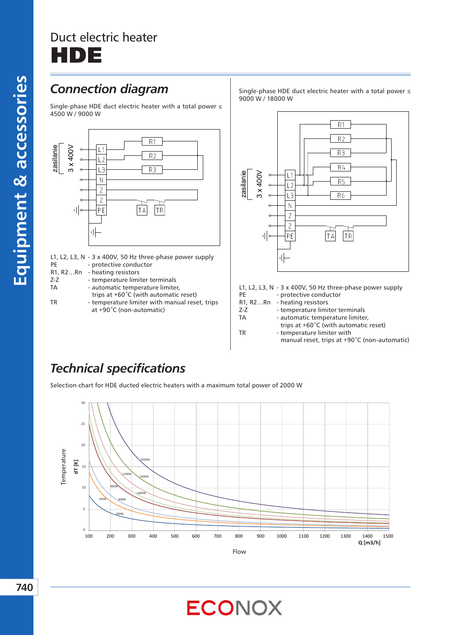# Duct electric heater DE

### *Connection diagram*

Single-phase HDE duct electric heater with a total power ≤ 4500 W / 9000 W



L1, L2, L3, N - 3 x 400V, 50 Hz three-phase power supply PE - protective conductor R1, R2…Rn - heating resistors

- Z-Z temperature limiter terminals
- TA automatic temperature limiter,

trips at +60*˚*C (with automatic reset) TR - temperature limiter with manual reset, trips at +90*˚*C (non-automatic)

Single-phase HDE duct electric heater with a total power ≤ 9000 W / 18000 W



L1, L2, L3, N - 3 x 400V, 50 Hz three-phase power supply

- PE protective conductor
- R1, R2…Rn heating resistors
- Z-Z temperature limiter terminals
- TA automatic temperature limiter,
- trips at +60*˚*C (with automatic reset) TR - temperature limiter with manual reset, trips at +90*˚*C (non-automatic)

## *Technical specifications*

Selection chart for HDE ducted electric heaters with a maximum total power of 2000 W

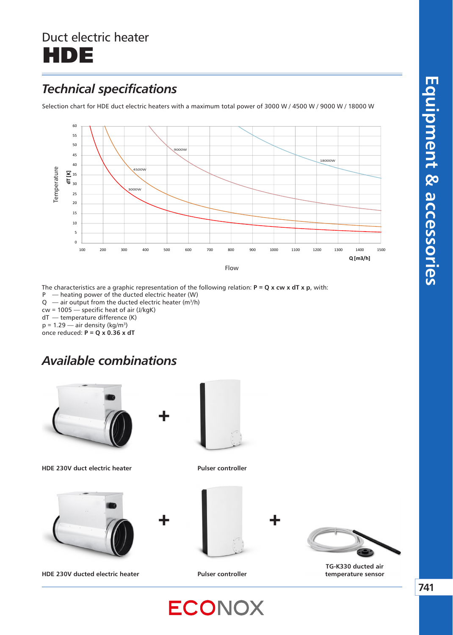## Duct electric heater HDE

## *Technical specifications*

Selection chart for HDE duct electric heaters with a maximum total power of 3000 W / 4500 W / 9000 W / 18000 W



The characteristics are a graphic representation of the following relation: **P = Q x cw x dT x p**, with: P — heating power of the ducted electric heater (W)  $Q$  — air output from the ducted electric heater (m<sup>3</sup>/h) cw = 1005 — specific heat of air (J/kgK) dT — temperature difference (K)  $p = 1.29$  — air density (kg/m<sup>3</sup>) once reduced: **P = Q x 0.36 x dT**

+

#### *Available combinations*



**HDE 230V duct electric heater Pulser controller** 



**HDE 230V ducted electric heater Pulser controller** 







**TG-K330 ducted air temperature sensor** 

**ECONOX**